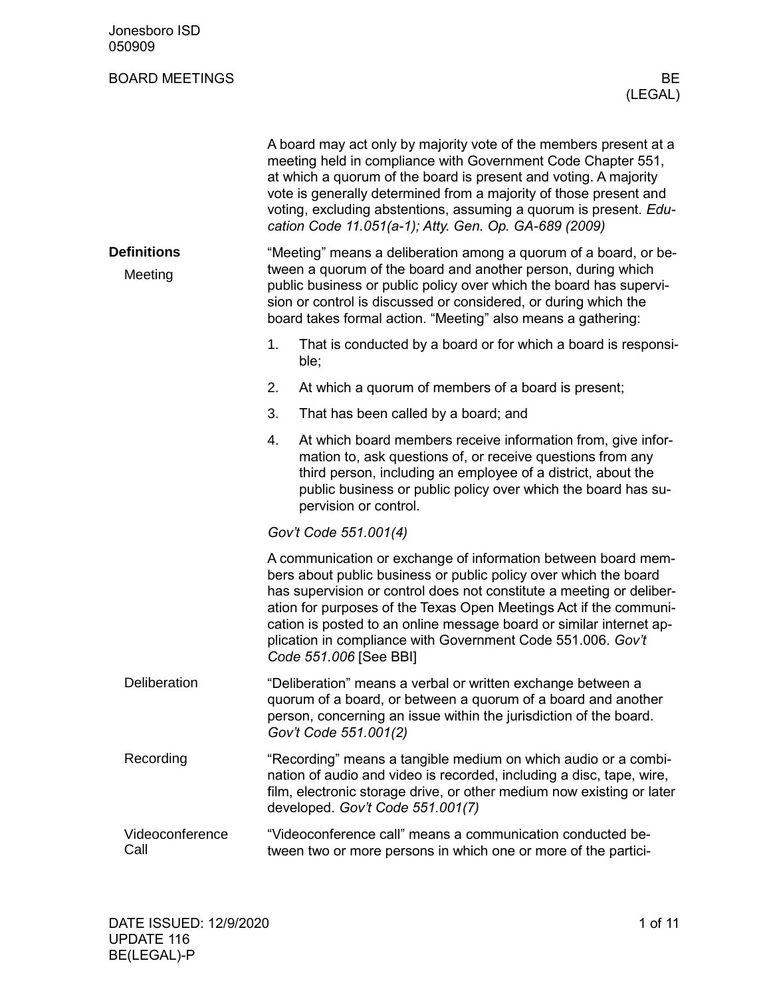| Jonesboro ISD<br>050909       |                                                                                                                                                                                                                                                                                                                                                                                                                                                |
|-------------------------------|------------------------------------------------------------------------------------------------------------------------------------------------------------------------------------------------------------------------------------------------------------------------------------------------------------------------------------------------------------------------------------------------------------------------------------------------|
| <b>BOARD MEETINGS</b>         | ВE<br>(LEGAL)                                                                                                                                                                                                                                                                                                                                                                                                                                  |
|                               | A board may act only by majority vote of the members present at a<br>meeting held in compliance with Government Code Chapter 551,<br>at which a quorum of the board is present and voting. A majority<br>vote is generally determined from a majority of those present and<br>voting, excluding abstentions, assuming a quorum is present. Edu-<br>cation Code 11.051(a-1); Atty. Gen. Op. GA-689 (2009)                                       |
| <b>Definitions</b><br>Meeting | "Meeting" means a deliberation among a quorum of a board, or be-<br>tween a quorum of the board and another person, during which<br>public business or public policy over which the board has supervi-<br>sion or control is discussed or considered, or during which the<br>board takes formal action. "Meeting" also means a gathering:                                                                                                      |
|                               | 1.<br>That is conducted by a board or for which a board is responsi-<br>ble;                                                                                                                                                                                                                                                                                                                                                                   |
|                               | At which a quorum of members of a board is present;<br>2.                                                                                                                                                                                                                                                                                                                                                                                      |
|                               | 3.<br>That has been called by a board; and                                                                                                                                                                                                                                                                                                                                                                                                     |
|                               | At which board members receive information from, give infor-<br>4.<br>mation to, ask questions of, or receive questions from any<br>third person, including an employee of a district, about the<br>public business or public policy over which the board has su-<br>pervision or control.                                                                                                                                                     |
|                               | Gov't Code 551.001(4)                                                                                                                                                                                                                                                                                                                                                                                                                          |
|                               | A communication or exchange of information between board mem-<br>bers about public business or public policy over which the board<br>has supervision or control does not constitute a meeting or deliber-<br>ation for purposes of the Texas Open Meetings Act if the communi-<br>cation is posted to an online message board or similar internet ap-<br>plication in compliance with Government Code 551.006. Gov't<br>Code 551.006 [See BBI] |
| Deliberation                  | "Deliberation" means a verbal or written exchange between a<br>quorum of a board, or between a quorum of a board and another<br>person, concerning an issue within the jurisdiction of the board.<br>Gov't Code 551.001(2)                                                                                                                                                                                                                     |
| Recording                     | "Recording" means a tangible medium on which audio or a combi-<br>nation of audio and video is recorded, including a disc, tape, wire,<br>film, electronic storage drive, or other medium now existing or later<br>developed. Gov't Code 551.001(7)                                                                                                                                                                                            |
| Videoconference<br>Call       | "Videoconference call" means a communication conducted be-<br>tween two or more persons in which one or more of the partici-                                                                                                                                                                                                                                                                                                                   |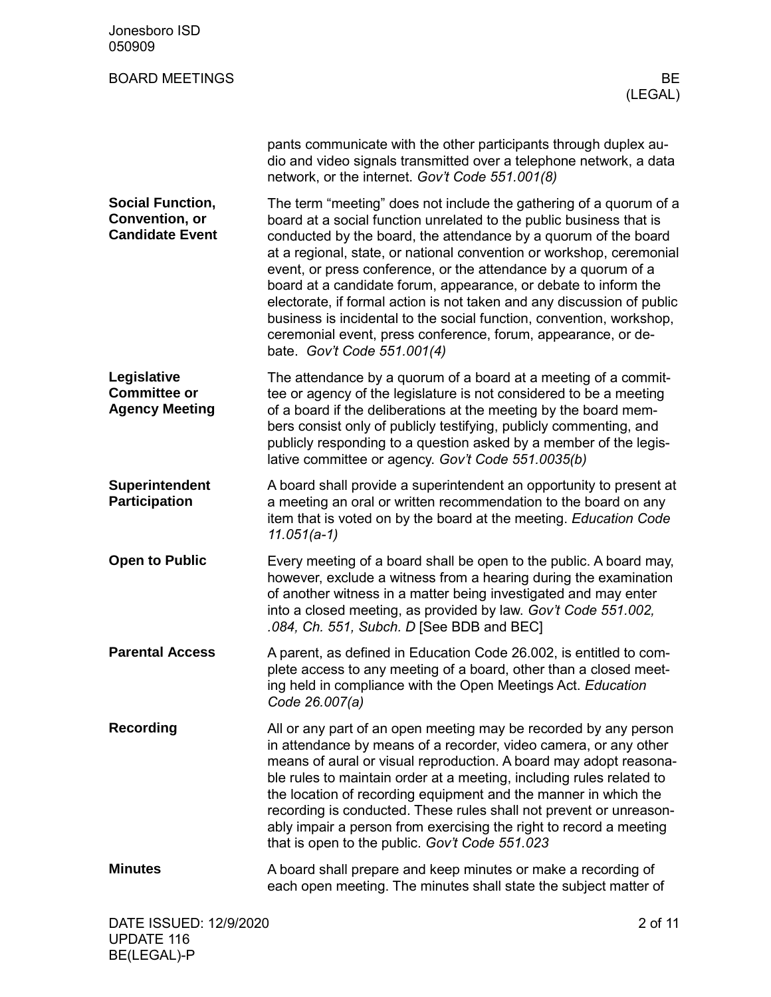| Jonesboro ISD<br>050909                                                    |                                                                                                                                                                                                                                                                                                                                                                                                                                                                                                                                                                                                                                                                             |
|----------------------------------------------------------------------------|-----------------------------------------------------------------------------------------------------------------------------------------------------------------------------------------------------------------------------------------------------------------------------------------------------------------------------------------------------------------------------------------------------------------------------------------------------------------------------------------------------------------------------------------------------------------------------------------------------------------------------------------------------------------------------|
| <b>BOARD MEETINGS</b>                                                      | <b>BE</b><br>(LEGAL)                                                                                                                                                                                                                                                                                                                                                                                                                                                                                                                                                                                                                                                        |
|                                                                            | pants communicate with the other participants through duplex au-<br>dio and video signals transmitted over a telephone network, a data<br>network, or the internet. Gov't Code 551.001(8)                                                                                                                                                                                                                                                                                                                                                                                                                                                                                   |
| <b>Social Function,</b><br><b>Convention, or</b><br><b>Candidate Event</b> | The term "meeting" does not include the gathering of a quorum of a<br>board at a social function unrelated to the public business that is<br>conducted by the board, the attendance by a quorum of the board<br>at a regional, state, or national convention or workshop, ceremonial<br>event, or press conference, or the attendance by a quorum of a<br>board at a candidate forum, appearance, or debate to inform the<br>electorate, if formal action is not taken and any discussion of public<br>business is incidental to the social function, convention, workshop,<br>ceremonial event, press conference, forum, appearance, or de-<br>bate. Gov't Code 551.001(4) |
| Legislative<br><b>Committee or</b><br><b>Agency Meeting</b>                | The attendance by a quorum of a board at a meeting of a commit-<br>tee or agency of the legislature is not considered to be a meeting<br>of a board if the deliberations at the meeting by the board mem-<br>bers consist only of publicly testifying, publicly commenting, and<br>publicly responding to a question asked by a member of the legis-<br>lative committee or agency. Gov't Code 551.0035(b)                                                                                                                                                                                                                                                                  |
| <b>Superintendent</b><br><b>Participation</b>                              | A board shall provide a superintendent an opportunity to present at<br>a meeting an oral or written recommendation to the board on any<br>item that is voted on by the board at the meeting. Education Code<br>$11.051(a-1)$                                                                                                                                                                                                                                                                                                                                                                                                                                                |
| <b>Open to Public</b>                                                      | Every meeting of a board shall be open to the public. A board may,<br>however, exclude a witness from a hearing during the examination<br>of another witness in a matter being investigated and may enter<br>into a closed meeting, as provided by law. Gov't Code 551.002,<br>.084, Ch. 551, Subch. D [See BDB and BEC]                                                                                                                                                                                                                                                                                                                                                    |
| <b>Parental Access</b>                                                     | A parent, as defined in Education Code 26.002, is entitled to com-<br>plete access to any meeting of a board, other than a closed meet-<br>ing held in compliance with the Open Meetings Act. Education<br>Code 26.007(a)                                                                                                                                                                                                                                                                                                                                                                                                                                                   |
| <b>Recording</b>                                                           | All or any part of an open meeting may be recorded by any person<br>in attendance by means of a recorder, video camera, or any other<br>means of aural or visual reproduction. A board may adopt reasona-<br>ble rules to maintain order at a meeting, including rules related to<br>the location of recording equipment and the manner in which the<br>recording is conducted. These rules shall not prevent or unreason-<br>ably impair a person from exercising the right to record a meeting<br>that is open to the public. Gov't Code 551.023                                                                                                                          |
| <b>Minutes</b>                                                             | A board shall prepare and keep minutes or make a recording of<br>each open meeting. The minutes shall state the subject matter of                                                                                                                                                                                                                                                                                                                                                                                                                                                                                                                                           |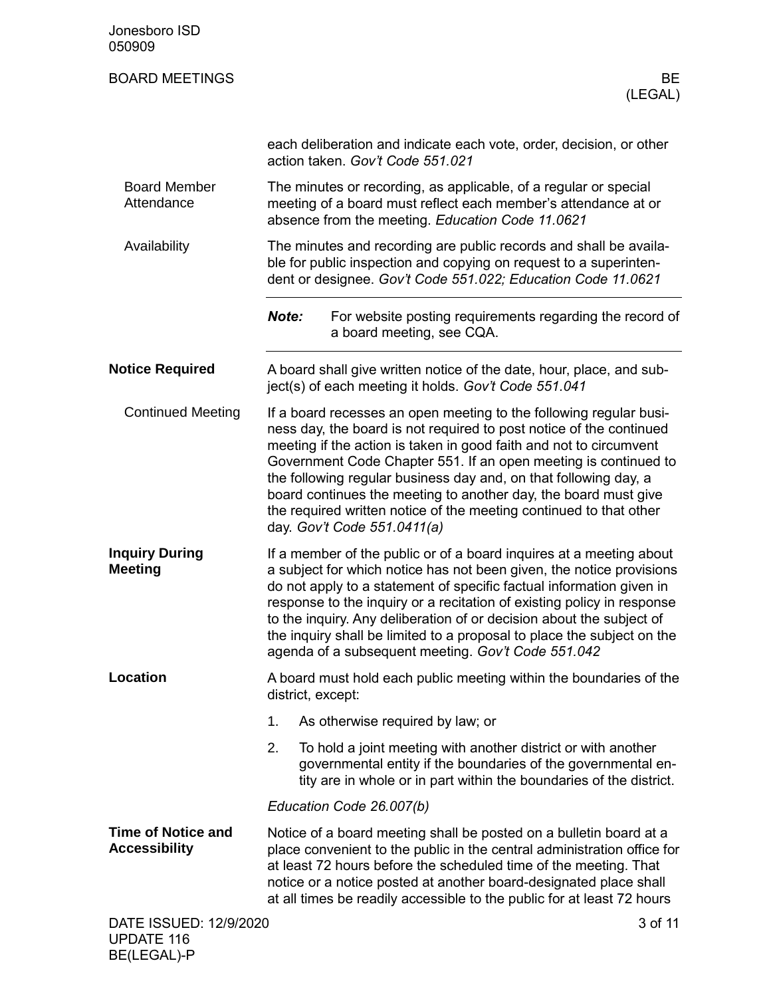| Jonesboro ISD<br>050909                           |                                                                                                                                                                                                                                                                                                                                                                                                                                                                                                                                |               |
|---------------------------------------------------|--------------------------------------------------------------------------------------------------------------------------------------------------------------------------------------------------------------------------------------------------------------------------------------------------------------------------------------------------------------------------------------------------------------------------------------------------------------------------------------------------------------------------------|---------------|
| <b>BOARD MEETINGS</b>                             |                                                                                                                                                                                                                                                                                                                                                                                                                                                                                                                                | BE<br>(LEGAL) |
|                                                   | each deliberation and indicate each vote, order, decision, or other<br>action taken. Gov't Code 551.021                                                                                                                                                                                                                                                                                                                                                                                                                        |               |
| <b>Board Member</b><br>Attendance                 | The minutes or recording, as applicable, of a regular or special<br>meeting of a board must reflect each member's attendance at or<br>absence from the meeting. Education Code 11.0621                                                                                                                                                                                                                                                                                                                                         |               |
| Availability                                      | The minutes and recording are public records and shall be availa-<br>ble for public inspection and copying on request to a superinten-<br>dent or designee. Gov't Code 551.022; Education Code 11.0621                                                                                                                                                                                                                                                                                                                         |               |
|                                                   | Note:<br>For website posting requirements regarding the record of<br>a board meeting, see CQA.                                                                                                                                                                                                                                                                                                                                                                                                                                 |               |
| <b>Notice Required</b>                            | A board shall give written notice of the date, hour, place, and sub-<br>ject(s) of each meeting it holds. Gov't Code 551.041                                                                                                                                                                                                                                                                                                                                                                                                   |               |
| <b>Continued Meeting</b>                          | If a board recesses an open meeting to the following regular busi-<br>ness day, the board is not required to post notice of the continued<br>meeting if the action is taken in good faith and not to circumvent<br>Government Code Chapter 551. If an open meeting is continued to<br>the following regular business day and, on that following day, a<br>board continues the meeting to another day, the board must give<br>the required written notice of the meeting continued to that other<br>day. Gov't Code 551.0411(a) |               |
| <b>Inquiry During</b><br><b>Meeting</b>           | If a member of the public or of a board inquires at a meeting about<br>a subject for which notice has not been given, the notice provisions<br>do not apply to a statement of specific factual information given in<br>response to the inquiry or a recitation of existing policy in response<br>to the inquiry. Any deliberation of or decision about the subject of<br>the inquiry shall be limited to a proposal to place the subject on the<br>agenda of a subsequent meeting. Gov't Code 551.042                          |               |
| Location                                          | A board must hold each public meeting within the boundaries of the<br>district, except:                                                                                                                                                                                                                                                                                                                                                                                                                                        |               |
|                                                   | 1.<br>As otherwise required by law; or                                                                                                                                                                                                                                                                                                                                                                                                                                                                                         |               |
|                                                   | 2.<br>To hold a joint meeting with another district or with another<br>governmental entity if the boundaries of the governmental en-<br>tity are in whole or in part within the boundaries of the district.                                                                                                                                                                                                                                                                                                                    |               |
|                                                   | Education Code 26.007(b)                                                                                                                                                                                                                                                                                                                                                                                                                                                                                                       |               |
| <b>Time of Notice and</b><br><b>Accessibility</b> | Notice of a board meeting shall be posted on a bulletin board at a<br>place convenient to the public in the central administration office for<br>at least 72 hours before the scheduled time of the meeting. That<br>notice or a notice posted at another board-designated place shall<br>at all times be readily accessible to the public for at least 72 hours                                                                                                                                                               |               |
| DATE ISSUED: 12/9/2020<br><b>UPDATE 116</b>       |                                                                                                                                                                                                                                                                                                                                                                                                                                                                                                                                | 3 of 11       |

BE(LEGAL)-P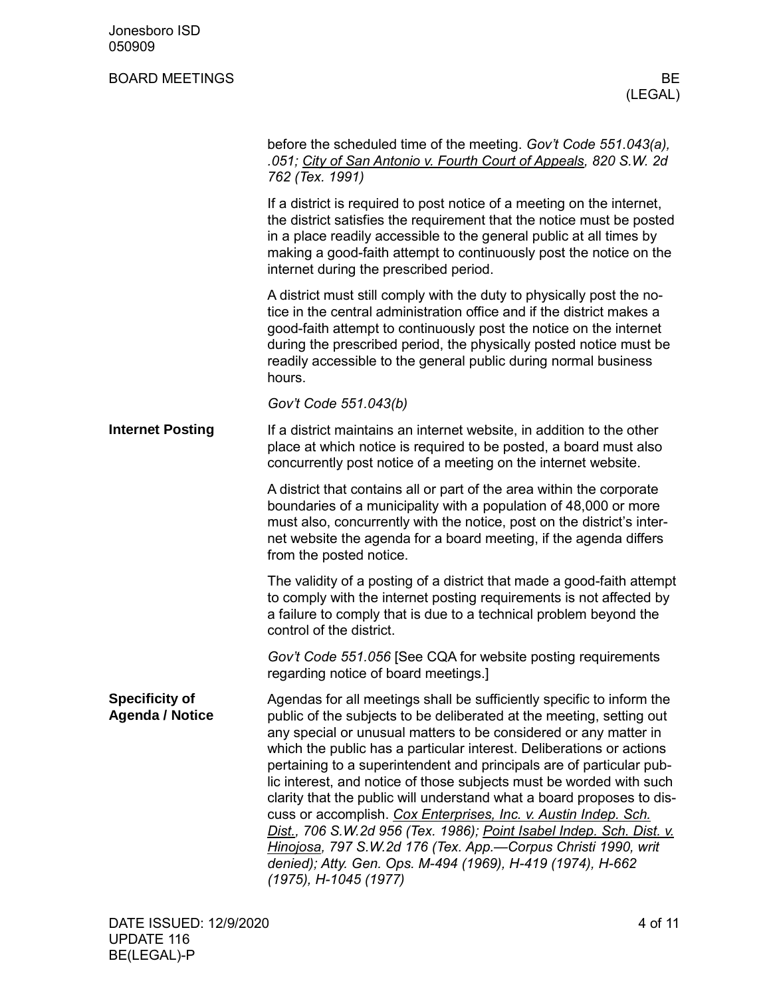| Jonesboro ISD<br>050909                         |                                                                                                                                                                                                                                                                                                                                                                                                                                                                                                                                                                                                                                                                                                                                                                                                                      |
|-------------------------------------------------|----------------------------------------------------------------------------------------------------------------------------------------------------------------------------------------------------------------------------------------------------------------------------------------------------------------------------------------------------------------------------------------------------------------------------------------------------------------------------------------------------------------------------------------------------------------------------------------------------------------------------------------------------------------------------------------------------------------------------------------------------------------------------------------------------------------------|
| <b>BOARD MEETINGS</b>                           | BE<br>(LEGAL)                                                                                                                                                                                                                                                                                                                                                                                                                                                                                                                                                                                                                                                                                                                                                                                                        |
|                                                 | before the scheduled time of the meeting. Gov't Code 551.043(a),<br>.051; City of San Antonio v. Fourth Court of Appeals, 820 S.W. 2d<br>762 (Tex. 1991)                                                                                                                                                                                                                                                                                                                                                                                                                                                                                                                                                                                                                                                             |
|                                                 | If a district is required to post notice of a meeting on the internet,<br>the district satisfies the requirement that the notice must be posted<br>in a place readily accessible to the general public at all times by<br>making a good-faith attempt to continuously post the notice on the<br>internet during the prescribed period.                                                                                                                                                                                                                                                                                                                                                                                                                                                                               |
|                                                 | A district must still comply with the duty to physically post the no-<br>tice in the central administration office and if the district makes a<br>good-faith attempt to continuously post the notice on the internet<br>during the prescribed period, the physically posted notice must be<br>readily accessible to the general public during normal business<br>hours.                                                                                                                                                                                                                                                                                                                                                                                                                                              |
|                                                 | Gov't Code 551.043(b)                                                                                                                                                                                                                                                                                                                                                                                                                                                                                                                                                                                                                                                                                                                                                                                                |
| <b>Internet Posting</b>                         | If a district maintains an internet website, in addition to the other<br>place at which notice is required to be posted, a board must also<br>concurrently post notice of a meeting on the internet website.                                                                                                                                                                                                                                                                                                                                                                                                                                                                                                                                                                                                         |
|                                                 | A district that contains all or part of the area within the corporate<br>boundaries of a municipality with a population of 48,000 or more<br>must also, concurrently with the notice, post on the district's inter-<br>net website the agenda for a board meeting, if the agenda differs<br>from the posted notice.                                                                                                                                                                                                                                                                                                                                                                                                                                                                                                  |
|                                                 | The validity of a posting of a district that made a good-faith attempt<br>to comply with the internet posting requirements is not affected by<br>a failure to comply that is due to a technical problem beyond the<br>control of the district.                                                                                                                                                                                                                                                                                                                                                                                                                                                                                                                                                                       |
|                                                 | Gov't Code 551.056 [See CQA for website posting requirements<br>regarding notice of board meetings.]                                                                                                                                                                                                                                                                                                                                                                                                                                                                                                                                                                                                                                                                                                                 |
| <b>Specificity of</b><br><b>Agenda / Notice</b> | Agendas for all meetings shall be sufficiently specific to inform the<br>public of the subjects to be deliberated at the meeting, setting out<br>any special or unusual matters to be considered or any matter in<br>which the public has a particular interest. Deliberations or actions<br>pertaining to a superintendent and principals are of particular pub-<br>lic interest, and notice of those subjects must be worded with such<br>clarity that the public will understand what a board proposes to dis-<br>cuss or accomplish. Cox Enterprises, Inc. v. Austin Indep. Sch.<br>Dist., 706 S.W.2d 956 (Tex. 1986); Point Isabel Indep. Sch. Dist. v.<br>Hinojosa, 797 S.W.2d 176 (Tex. App.—Corpus Christi 1990, writ<br>denied); Atty. Gen. Ops. M-494 (1969), H-419 (1974), H-662<br>(1975), H-1045 (1977) |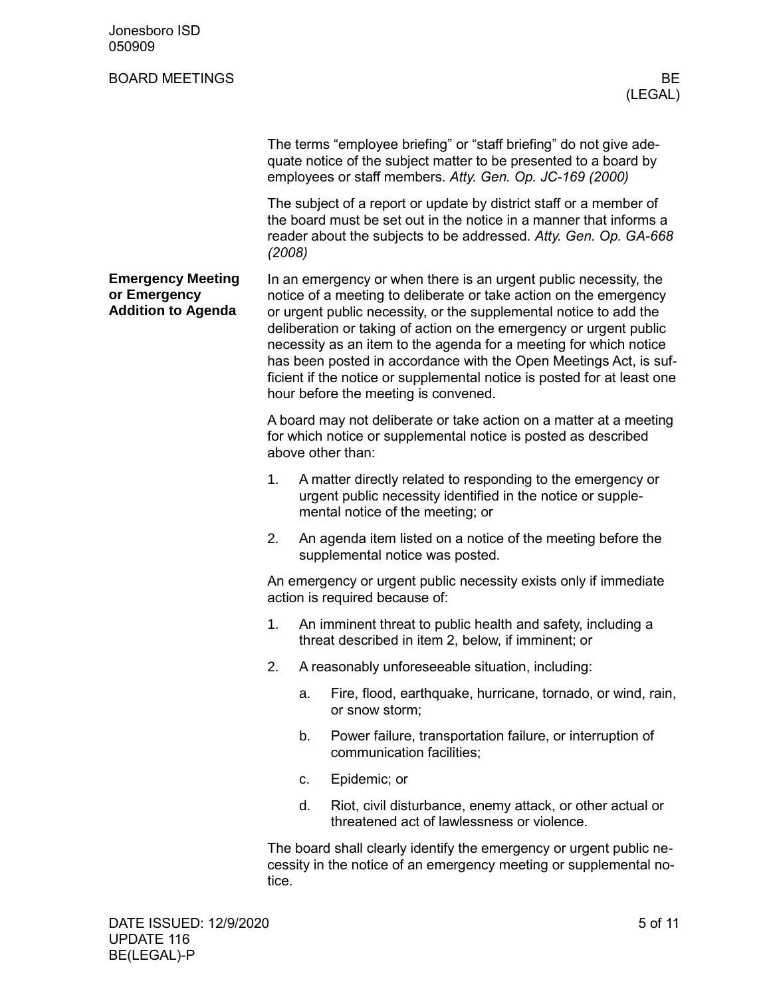| Jonesboro ISD<br>050909                                               |        |                                                                                                                                                                                                                                                                                                                                                                                                                                                                                                                                               |
|-----------------------------------------------------------------------|--------|-----------------------------------------------------------------------------------------------------------------------------------------------------------------------------------------------------------------------------------------------------------------------------------------------------------------------------------------------------------------------------------------------------------------------------------------------------------------------------------------------------------------------------------------------|
| <b>BOARD MEETINGS</b>                                                 |        | BE<br>(LEGAL)                                                                                                                                                                                                                                                                                                                                                                                                                                                                                                                                 |
|                                                                       |        | The terms "employee briefing" or "staff briefing" do not give ade-<br>quate notice of the subject matter to be presented to a board by<br>employees or staff members. Atty. Gen. Op. JC-169 (2000)                                                                                                                                                                                                                                                                                                                                            |
|                                                                       | (2008) | The subject of a report or update by district staff or a member of<br>the board must be set out in the notice in a manner that informs a<br>reader about the subjects to be addressed. Atty. Gen. Op. GA-668                                                                                                                                                                                                                                                                                                                                  |
| <b>Emergency Meeting</b><br>or Emergency<br><b>Addition to Agenda</b> |        | In an emergency or when there is an urgent public necessity, the<br>notice of a meeting to deliberate or take action on the emergency<br>or urgent public necessity, or the supplemental notice to add the<br>deliberation or taking of action on the emergency or urgent public<br>necessity as an item to the agenda for a meeting for which notice<br>has been posted in accordance with the Open Meetings Act, is suf-<br>ficient if the notice or supplemental notice is posted for at least one<br>hour before the meeting is convened. |
|                                                                       |        | A board may not deliberate or take action on a matter at a meeting<br>for which notice or supplemental notice is posted as described<br>above other than:                                                                                                                                                                                                                                                                                                                                                                                     |
|                                                                       | 1.     | A matter directly related to responding to the emergency or<br>urgent public necessity identified in the notice or supple-<br>mental notice of the meeting; or                                                                                                                                                                                                                                                                                                                                                                                |
|                                                                       | 2.     | An agenda item listed on a notice of the meeting before the<br>supplemental notice was posted.                                                                                                                                                                                                                                                                                                                                                                                                                                                |
|                                                                       |        | An emergency or urgent public necessity exists only if immediate<br>action is required because of:                                                                                                                                                                                                                                                                                                                                                                                                                                            |
|                                                                       | 1.     | An imminent threat to public health and safety, including a<br>threat described in item 2, below, if imminent; or                                                                                                                                                                                                                                                                                                                                                                                                                             |
|                                                                       | 2.     | A reasonably unforeseeable situation, including:                                                                                                                                                                                                                                                                                                                                                                                                                                                                                              |
|                                                                       |        | Fire, flood, earthquake, hurricane, tornado, or wind, rain,<br>a.<br>or snow storm;                                                                                                                                                                                                                                                                                                                                                                                                                                                           |
|                                                                       |        | Power failure, transportation failure, or interruption of<br>b.<br>communication facilities;                                                                                                                                                                                                                                                                                                                                                                                                                                                  |
|                                                                       |        | Epidemic; or<br>c.                                                                                                                                                                                                                                                                                                                                                                                                                                                                                                                            |
|                                                                       |        | d.<br>Riot, civil disturbance, enemy attack, or other actual or<br>threatened act of lawlessness or violence.                                                                                                                                                                                                                                                                                                                                                                                                                                 |
|                                                                       | tice.  | The board shall clearly identify the emergency or urgent public ne-<br>cessity in the notice of an emergency meeting or supplemental no-                                                                                                                                                                                                                                                                                                                                                                                                      |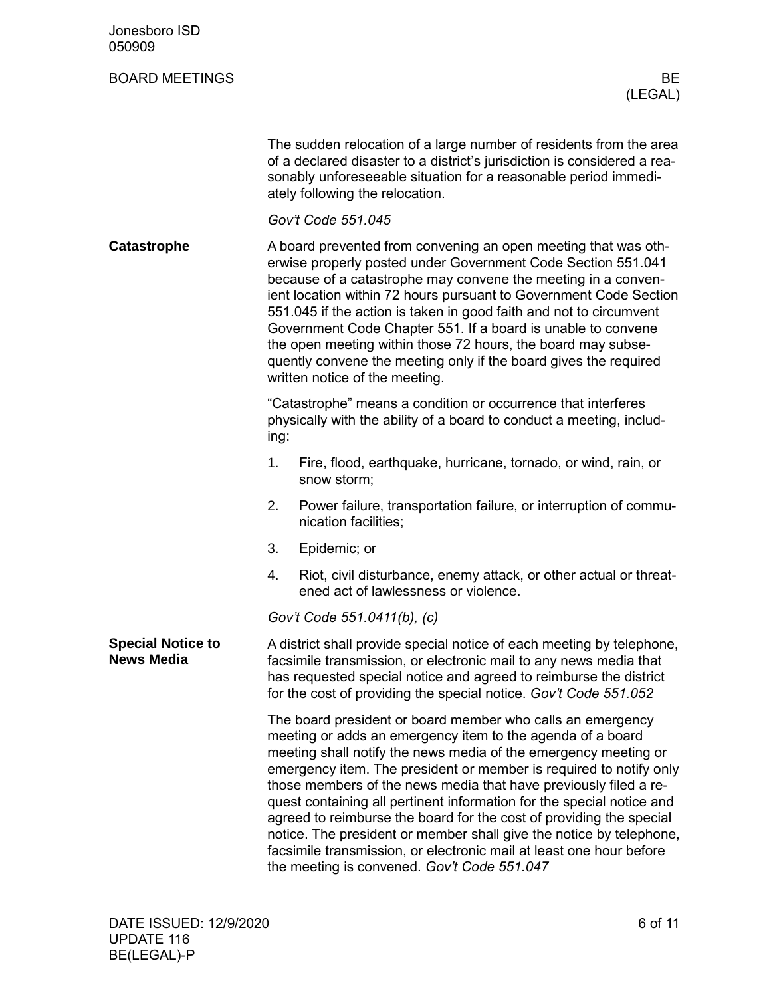| Jonesboro ISD<br>050909                       |                                                                                                                                                                                                                                                                                                                                                                                                                                                                                                                                                                                  |                                                                                                                                                                                                                                                                                                                                                                                                                                                                                                                                                                                                                                                                                    |
|-----------------------------------------------|----------------------------------------------------------------------------------------------------------------------------------------------------------------------------------------------------------------------------------------------------------------------------------------------------------------------------------------------------------------------------------------------------------------------------------------------------------------------------------------------------------------------------------------------------------------------------------|------------------------------------------------------------------------------------------------------------------------------------------------------------------------------------------------------------------------------------------------------------------------------------------------------------------------------------------------------------------------------------------------------------------------------------------------------------------------------------------------------------------------------------------------------------------------------------------------------------------------------------------------------------------------------------|
| <b>BOARD MEETINGS</b>                         |                                                                                                                                                                                                                                                                                                                                                                                                                                                                                                                                                                                  | <b>BE</b><br>(LEGAL)                                                                                                                                                                                                                                                                                                                                                                                                                                                                                                                                                                                                                                                               |
|                                               |                                                                                                                                                                                                                                                                                                                                                                                                                                                                                                                                                                                  | The sudden relocation of a large number of residents from the area<br>of a declared disaster to a district's jurisdiction is considered a rea-<br>sonably unforeseeable situation for a reasonable period immedi-<br>ately following the relocation.                                                                                                                                                                                                                                                                                                                                                                                                                               |
|                                               |                                                                                                                                                                                                                                                                                                                                                                                                                                                                                                                                                                                  | Gov't Code 551.045                                                                                                                                                                                                                                                                                                                                                                                                                                                                                                                                                                                                                                                                 |
| Catastrophe                                   | A board prevented from convening an open meeting that was oth-<br>erwise properly posted under Government Code Section 551.041<br>because of a catastrophe may convene the meeting in a conven-<br>ient location within 72 hours pursuant to Government Code Section<br>551.045 if the action is taken in good faith and not to circumvent<br>Government Code Chapter 551. If a board is unable to convene<br>the open meeting within those 72 hours, the board may subse-<br>quently convene the meeting only if the board gives the required<br>written notice of the meeting. |                                                                                                                                                                                                                                                                                                                                                                                                                                                                                                                                                                                                                                                                                    |
|                                               | ing:                                                                                                                                                                                                                                                                                                                                                                                                                                                                                                                                                                             | "Catastrophe" means a condition or occurrence that interferes<br>physically with the ability of a board to conduct a meeting, includ-                                                                                                                                                                                                                                                                                                                                                                                                                                                                                                                                              |
|                                               | 1.                                                                                                                                                                                                                                                                                                                                                                                                                                                                                                                                                                               | Fire, flood, earthquake, hurricane, tornado, or wind, rain, or<br>snow storm;                                                                                                                                                                                                                                                                                                                                                                                                                                                                                                                                                                                                      |
|                                               | 2.                                                                                                                                                                                                                                                                                                                                                                                                                                                                                                                                                                               | Power failure, transportation failure, or interruption of commu-<br>nication facilities;                                                                                                                                                                                                                                                                                                                                                                                                                                                                                                                                                                                           |
|                                               | 3.                                                                                                                                                                                                                                                                                                                                                                                                                                                                                                                                                                               | Epidemic; or                                                                                                                                                                                                                                                                                                                                                                                                                                                                                                                                                                                                                                                                       |
|                                               | 4.                                                                                                                                                                                                                                                                                                                                                                                                                                                                                                                                                                               | Riot, civil disturbance, enemy attack, or other actual or threat-<br>ened act of lawlessness or violence.                                                                                                                                                                                                                                                                                                                                                                                                                                                                                                                                                                          |
|                                               |                                                                                                                                                                                                                                                                                                                                                                                                                                                                                                                                                                                  | Gov't Code 551.0411(b), (c)                                                                                                                                                                                                                                                                                                                                                                                                                                                                                                                                                                                                                                                        |
| <b>Special Notice to</b><br><b>News Media</b> |                                                                                                                                                                                                                                                                                                                                                                                                                                                                                                                                                                                  | A district shall provide special notice of each meeting by telephone,<br>facsimile transmission, or electronic mail to any news media that<br>has requested special notice and agreed to reimburse the district<br>for the cost of providing the special notice. Gov't Code 551.052                                                                                                                                                                                                                                                                                                                                                                                                |
|                                               |                                                                                                                                                                                                                                                                                                                                                                                                                                                                                                                                                                                  | The board president or board member who calls an emergency<br>meeting or adds an emergency item to the agenda of a board<br>meeting shall notify the news media of the emergency meeting or<br>emergency item. The president or member is required to notify only<br>those members of the news media that have previously filed a re-<br>quest containing all pertinent information for the special notice and<br>agreed to reimburse the board for the cost of providing the special<br>notice. The president or member shall give the notice by telephone,<br>facsimile transmission, or electronic mail at least one hour before<br>the meeting is convened. Gov't Code 551.047 |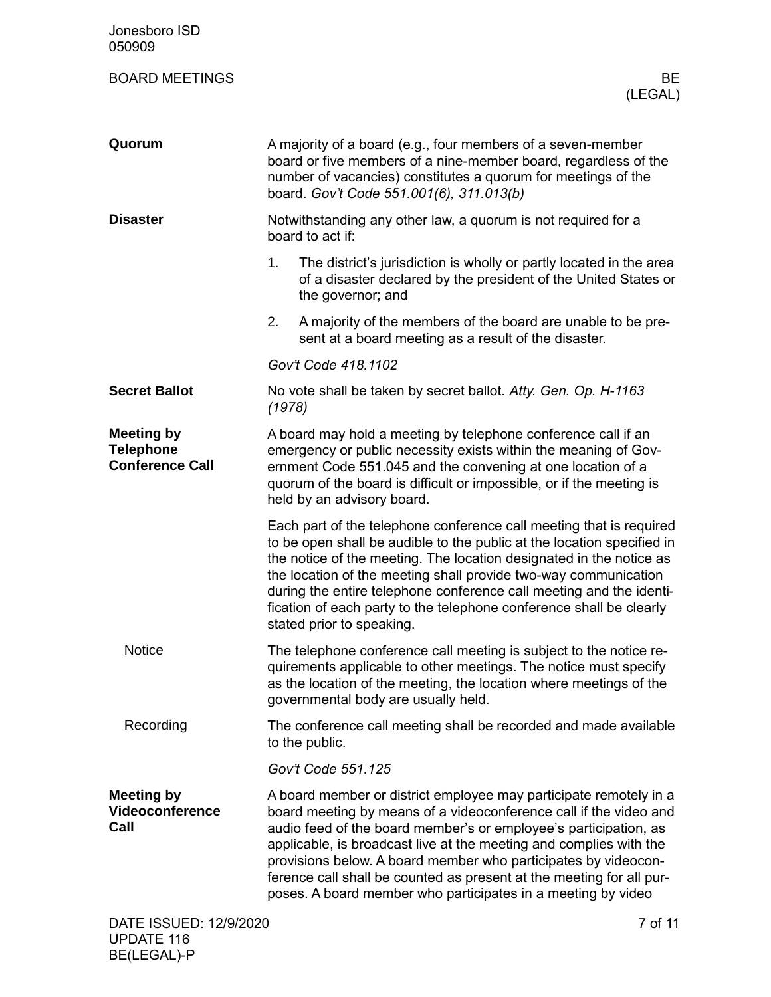| Jonesboro ISD<br>050909                                         |                                                                                                                                                                                                                                                                                                                                                                                                                                                                                            |  |
|-----------------------------------------------------------------|--------------------------------------------------------------------------------------------------------------------------------------------------------------------------------------------------------------------------------------------------------------------------------------------------------------------------------------------------------------------------------------------------------------------------------------------------------------------------------------------|--|
| <b>BOARD MEETINGS</b>                                           | BE<br>(LEGAL)                                                                                                                                                                                                                                                                                                                                                                                                                                                                              |  |
| Quorum                                                          | A majority of a board (e.g., four members of a seven-member<br>board or five members of a nine-member board, regardless of the<br>number of vacancies) constitutes a quorum for meetings of the<br>board. Gov't Code 551.001(6), 311.013(b)                                                                                                                                                                                                                                                |  |
| <b>Disaster</b>                                                 | Notwithstanding any other law, a quorum is not required for a<br>board to act if:                                                                                                                                                                                                                                                                                                                                                                                                          |  |
|                                                                 | 1.<br>The district's jurisdiction is wholly or partly located in the area<br>of a disaster declared by the president of the United States or<br>the governor; and                                                                                                                                                                                                                                                                                                                          |  |
|                                                                 | 2.<br>A majority of the members of the board are unable to be pre-<br>sent at a board meeting as a result of the disaster.                                                                                                                                                                                                                                                                                                                                                                 |  |
|                                                                 | Gov't Code 418.1102                                                                                                                                                                                                                                                                                                                                                                                                                                                                        |  |
| <b>Secret Ballot</b>                                            | No vote shall be taken by secret ballot. Atty. Gen. Op. H-1163<br>(1978)                                                                                                                                                                                                                                                                                                                                                                                                                   |  |
| <b>Meeting by</b><br><b>Telephone</b><br><b>Conference Call</b> | A board may hold a meeting by telephone conference call if an<br>emergency or public necessity exists within the meaning of Gov-<br>ernment Code 551.045 and the convening at one location of a<br>quorum of the board is difficult or impossible, or if the meeting is<br>held by an advisory board.                                                                                                                                                                                      |  |
|                                                                 | Each part of the telephone conference call meeting that is required<br>to be open shall be audible to the public at the location specified in<br>the notice of the meeting. The location designated in the notice as<br>the location of the meeting shall provide two-way communication<br>during the entire telephone conference call meeting and the identi-<br>fication of each party to the telephone conference shall be clearly<br>stated prior to speaking.                         |  |
| <b>Notice</b>                                                   | The telephone conference call meeting is subject to the notice re-<br>quirements applicable to other meetings. The notice must specify<br>as the location of the meeting, the location where meetings of the<br>governmental body are usually held.                                                                                                                                                                                                                                        |  |
| Recording                                                       | The conference call meeting shall be recorded and made available<br>to the public.                                                                                                                                                                                                                                                                                                                                                                                                         |  |
|                                                                 | Gov't Code 551.125                                                                                                                                                                                                                                                                                                                                                                                                                                                                         |  |
| <b>Meeting by</b><br><b>Videoconference</b><br>Call             | A board member or district employee may participate remotely in a<br>board meeting by means of a videoconference call if the video and<br>audio feed of the board member's or employee's participation, as<br>applicable, is broadcast live at the meeting and complies with the<br>provisions below. A board member who participates by videocon-<br>ference call shall be counted as present at the meeting for all pur-<br>poses. A board member who participates in a meeting by video |  |
| DATE ISSUED: 12/9/2020                                          | 7 of 11                                                                                                                                                                                                                                                                                                                                                                                                                                                                                    |  |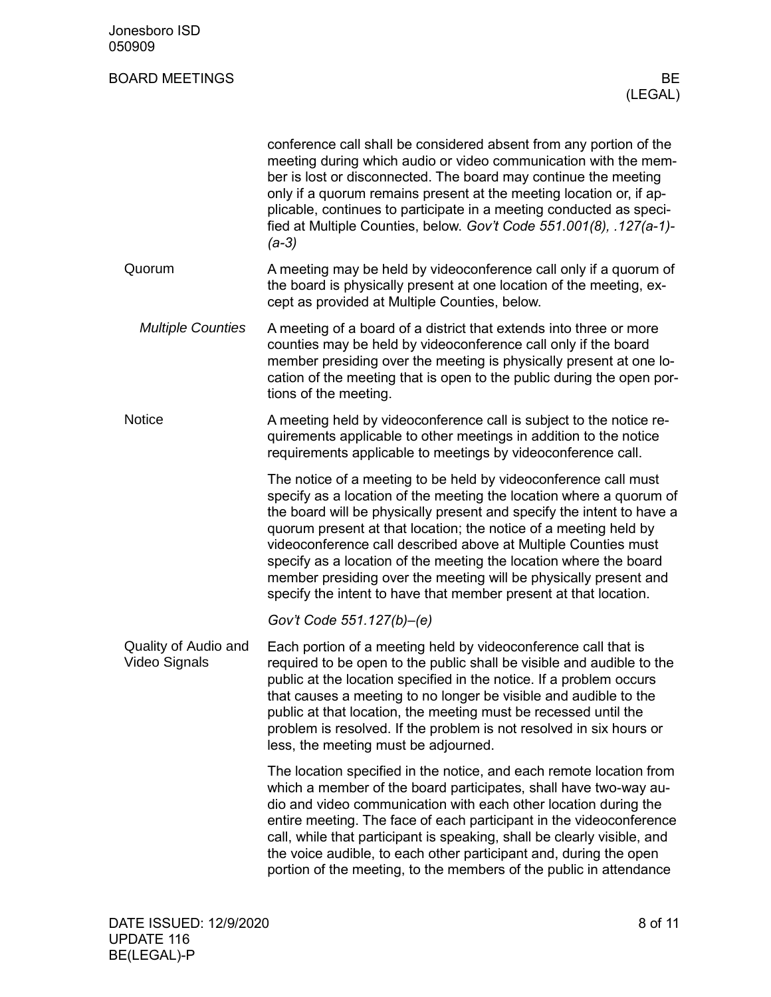| Jonesboro ISD<br>050909               |                                                                                                                                                                                                                                                                                                                                                                                                                                                                                                                                                                    |
|---------------------------------------|--------------------------------------------------------------------------------------------------------------------------------------------------------------------------------------------------------------------------------------------------------------------------------------------------------------------------------------------------------------------------------------------------------------------------------------------------------------------------------------------------------------------------------------------------------------------|
| <b>BOARD MEETINGS</b>                 | BE<br>(LEGAL)                                                                                                                                                                                                                                                                                                                                                                                                                                                                                                                                                      |
|                                       | conference call shall be considered absent from any portion of the<br>meeting during which audio or video communication with the mem-<br>ber is lost or disconnected. The board may continue the meeting<br>only if a quorum remains present at the meeting location or, if ap-<br>plicable, continues to participate in a meeting conducted as speci-<br>fied at Multiple Counties, below. Gov't Code 551.001(8), .127(a-1)-<br>$(a-3)$                                                                                                                           |
| Quorum                                | A meeting may be held by videoconference call only if a quorum of<br>the board is physically present at one location of the meeting, ex-<br>cept as provided at Multiple Counties, below.                                                                                                                                                                                                                                                                                                                                                                          |
| <b>Multiple Counties</b>              | A meeting of a board of a district that extends into three or more<br>counties may be held by videoconference call only if the board<br>member presiding over the meeting is physically present at one lo-<br>cation of the meeting that is open to the public during the open por-<br>tions of the meeting.                                                                                                                                                                                                                                                       |
| <b>Notice</b>                         | A meeting held by videoconference call is subject to the notice re-<br>quirements applicable to other meetings in addition to the notice<br>requirements applicable to meetings by videoconference call.                                                                                                                                                                                                                                                                                                                                                           |
|                                       | The notice of a meeting to be held by videoconference call must<br>specify as a location of the meeting the location where a quorum of<br>the board will be physically present and specify the intent to have a<br>quorum present at that location; the notice of a meeting held by<br>videoconference call described above at Multiple Counties must<br>specify as a location of the meeting the location where the board<br>member presiding over the meeting will be physically present and<br>specify the intent to have that member present at that location. |
|                                       | Gov't Code 551.127(b)-(e)                                                                                                                                                                                                                                                                                                                                                                                                                                                                                                                                          |
| Quality of Audio and<br>Video Signals | Each portion of a meeting held by videoconference call that is<br>required to be open to the public shall be visible and audible to the<br>public at the location specified in the notice. If a problem occurs<br>that causes a meeting to no longer be visible and audible to the<br>public at that location, the meeting must be recessed until the<br>problem is resolved. If the problem is not resolved in six hours or<br>less, the meeting must be adjourned.                                                                                               |
|                                       | The location specified in the notice, and each remote location from<br>which a member of the board participates, shall have two-way au-<br>dio and video communication with each other location during the<br>entire meeting. The face of each participant in the videoconference<br>call, while that participant is speaking, shall be clearly visible, and<br>the voice audible, to each other participant and, during the open<br>portion of the meeting, to the members of the public in attendance                                                            |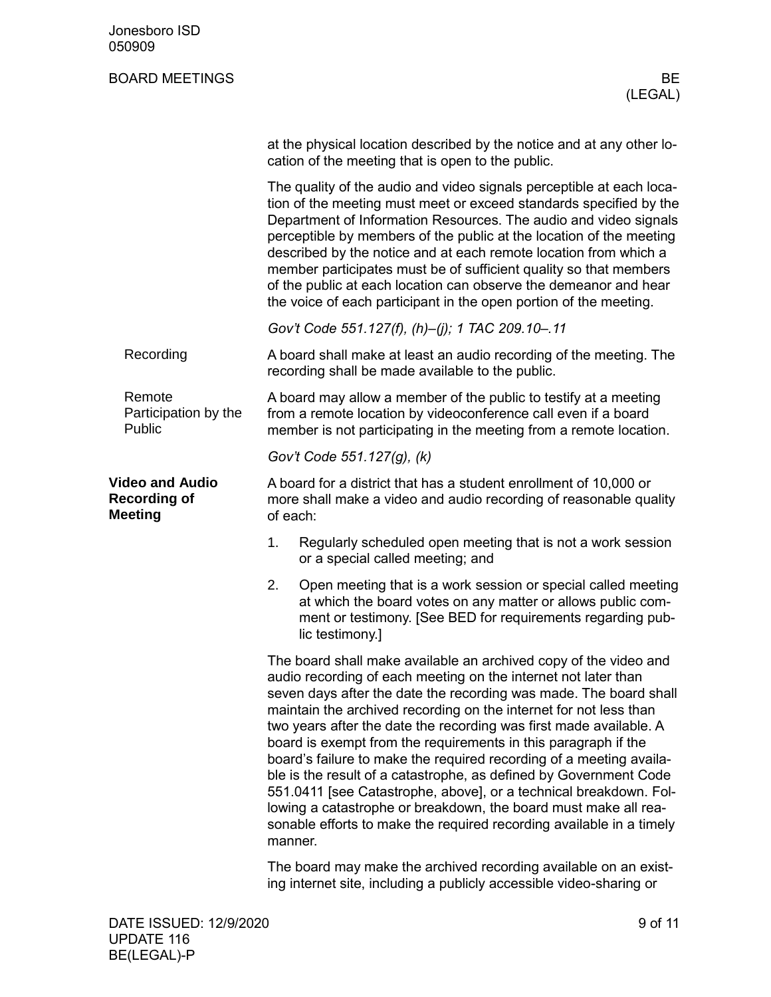| Jonesboro ISD<br>050909                                         |                                                                                                                                                    |                                                                                                                                                                                                                                                                                                                                                                                                                                                                                                                                                                                                                                                                                                                                                                                             |  |
|-----------------------------------------------------------------|----------------------------------------------------------------------------------------------------------------------------------------------------|---------------------------------------------------------------------------------------------------------------------------------------------------------------------------------------------------------------------------------------------------------------------------------------------------------------------------------------------------------------------------------------------------------------------------------------------------------------------------------------------------------------------------------------------------------------------------------------------------------------------------------------------------------------------------------------------------------------------------------------------------------------------------------------------|--|
| <b>BOARD MEETINGS</b>                                           |                                                                                                                                                    | BE<br>(LEGAL)                                                                                                                                                                                                                                                                                                                                                                                                                                                                                                                                                                                                                                                                                                                                                                               |  |
|                                                                 |                                                                                                                                                    | at the physical location described by the notice and at any other lo-<br>cation of the meeting that is open to the public.                                                                                                                                                                                                                                                                                                                                                                                                                                                                                                                                                                                                                                                                  |  |
|                                                                 |                                                                                                                                                    | The quality of the audio and video signals perceptible at each loca-<br>tion of the meeting must meet or exceed standards specified by the<br>Department of Information Resources. The audio and video signals<br>perceptible by members of the public at the location of the meeting<br>described by the notice and at each remote location from which a<br>member participates must be of sufficient quality so that members<br>of the public at each location can observe the demeanor and hear<br>the voice of each participant in the open portion of the meeting.                                                                                                                                                                                                                     |  |
|                                                                 |                                                                                                                                                    | Gov't Code 551.127(f), (h)-(j); 1 TAC 209.10-.11                                                                                                                                                                                                                                                                                                                                                                                                                                                                                                                                                                                                                                                                                                                                            |  |
| Recording                                                       |                                                                                                                                                    | A board shall make at least an audio recording of the meeting. The<br>recording shall be made available to the public.                                                                                                                                                                                                                                                                                                                                                                                                                                                                                                                                                                                                                                                                      |  |
| Remote<br>Participation by the<br>Public                        |                                                                                                                                                    | A board may allow a member of the public to testify at a meeting<br>from a remote location by videoconference call even if a board<br>member is not participating in the meeting from a remote location.                                                                                                                                                                                                                                                                                                                                                                                                                                                                                                                                                                                    |  |
|                                                                 |                                                                                                                                                    | Gov't Code 551.127(g), (k)                                                                                                                                                                                                                                                                                                                                                                                                                                                                                                                                                                                                                                                                                                                                                                  |  |
| <b>Video and Audio</b><br><b>Recording of</b><br><b>Meeting</b> | A board for a district that has a student enrollment of 10,000 or<br>more shall make a video and audio recording of reasonable quality<br>of each: |                                                                                                                                                                                                                                                                                                                                                                                                                                                                                                                                                                                                                                                                                                                                                                                             |  |
|                                                                 | 1.                                                                                                                                                 | Regularly scheduled open meeting that is not a work session<br>or a special called meeting; and                                                                                                                                                                                                                                                                                                                                                                                                                                                                                                                                                                                                                                                                                             |  |
|                                                                 | 2.                                                                                                                                                 | Open meeting that is a work session or special called meeting<br>at which the board votes on any matter or allows public com-<br>ment or testimony. [See BED for requirements regarding pub-<br>lic testimony.]                                                                                                                                                                                                                                                                                                                                                                                                                                                                                                                                                                             |  |
|                                                                 |                                                                                                                                                    | The board shall make available an archived copy of the video and<br>audio recording of each meeting on the internet not later than<br>seven days after the date the recording was made. The board shall<br>maintain the archived recording on the internet for not less than<br>two years after the date the recording was first made available. A<br>board is exempt from the requirements in this paragraph if the<br>board's failure to make the required recording of a meeting availa-<br>ble is the result of a catastrophe, as defined by Government Code<br>551.0411 [see Catastrophe, above], or a technical breakdown. Fol-<br>lowing a catastrophe or breakdown, the board must make all rea-<br>sonable efforts to make the required recording available in a timely<br>manner. |  |
|                                                                 |                                                                                                                                                    | The board may make the archived recording available on an exist-<br>ing internet site, including a publicly accessible video-sharing or                                                                                                                                                                                                                                                                                                                                                                                                                                                                                                                                                                                                                                                     |  |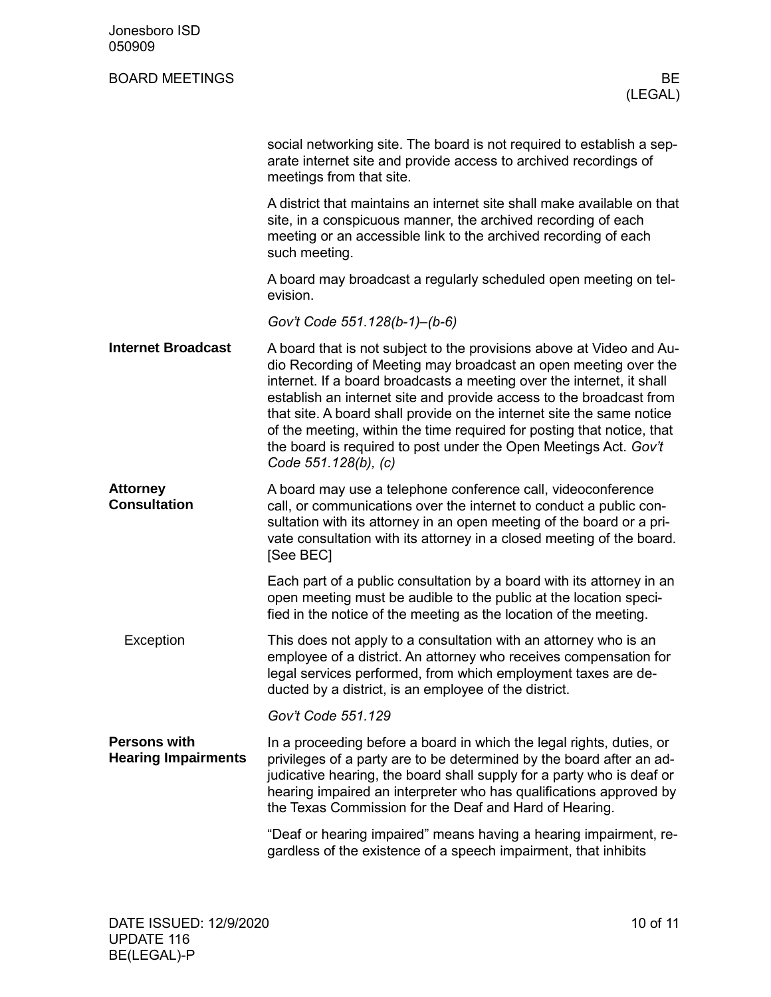| Jonesboro ISD<br>050909                           |                                                                                                                                                                                                                                                                                                                                                                                                                                                                                                                                        |
|---------------------------------------------------|----------------------------------------------------------------------------------------------------------------------------------------------------------------------------------------------------------------------------------------------------------------------------------------------------------------------------------------------------------------------------------------------------------------------------------------------------------------------------------------------------------------------------------------|
| <b>BOARD MEETINGS</b>                             | BE<br>(LEGAL)                                                                                                                                                                                                                                                                                                                                                                                                                                                                                                                          |
|                                                   | social networking site. The board is not required to establish a sep-<br>arate internet site and provide access to archived recordings of<br>meetings from that site.                                                                                                                                                                                                                                                                                                                                                                  |
|                                                   | A district that maintains an internet site shall make available on that<br>site, in a conspicuous manner, the archived recording of each<br>meeting or an accessible link to the archived recording of each<br>such meeting.                                                                                                                                                                                                                                                                                                           |
|                                                   | A board may broadcast a regularly scheduled open meeting on tel-<br>evision.                                                                                                                                                                                                                                                                                                                                                                                                                                                           |
|                                                   | Gov't Code 551.128(b-1)-(b-6)                                                                                                                                                                                                                                                                                                                                                                                                                                                                                                          |
| <b>Internet Broadcast</b>                         | A board that is not subject to the provisions above at Video and Au-<br>dio Recording of Meeting may broadcast an open meeting over the<br>internet. If a board broadcasts a meeting over the internet, it shall<br>establish an internet site and provide access to the broadcast from<br>that site. A board shall provide on the internet site the same notice<br>of the meeting, within the time required for posting that notice, that<br>the board is required to post under the Open Meetings Act. Gov't<br>Code 551.128(b), (c) |
| <b>Attorney</b><br><b>Consultation</b>            | A board may use a telephone conference call, videoconference<br>call, or communications over the internet to conduct a public con-<br>sultation with its attorney in an open meeting of the board or a pri-<br>vate consultation with its attorney in a closed meeting of the board.<br>[See BEC]                                                                                                                                                                                                                                      |
|                                                   | Each part of a public consultation by a board with its attorney in an<br>open meeting must be audible to the public at the location speci-<br>fied in the notice of the meeting as the location of the meeting.                                                                                                                                                                                                                                                                                                                        |
| Exception                                         | This does not apply to a consultation with an attorney who is an<br>employee of a district. An attorney who receives compensation for<br>legal services performed, from which employment taxes are de-<br>ducted by a district, is an employee of the district.                                                                                                                                                                                                                                                                        |
|                                                   | Gov't Code 551.129                                                                                                                                                                                                                                                                                                                                                                                                                                                                                                                     |
| <b>Persons with</b><br><b>Hearing Impairments</b> | In a proceeding before a board in which the legal rights, duties, or<br>privileges of a party are to be determined by the board after an ad-<br>judicative hearing, the board shall supply for a party who is deaf or<br>hearing impaired an interpreter who has qualifications approved by<br>the Texas Commission for the Deaf and Hard of Hearing.                                                                                                                                                                                  |
|                                                   | "Deaf or hearing impaired" means having a hearing impairment, re-<br>gardless of the existence of a speech impairment, that inhibits                                                                                                                                                                                                                                                                                                                                                                                                   |